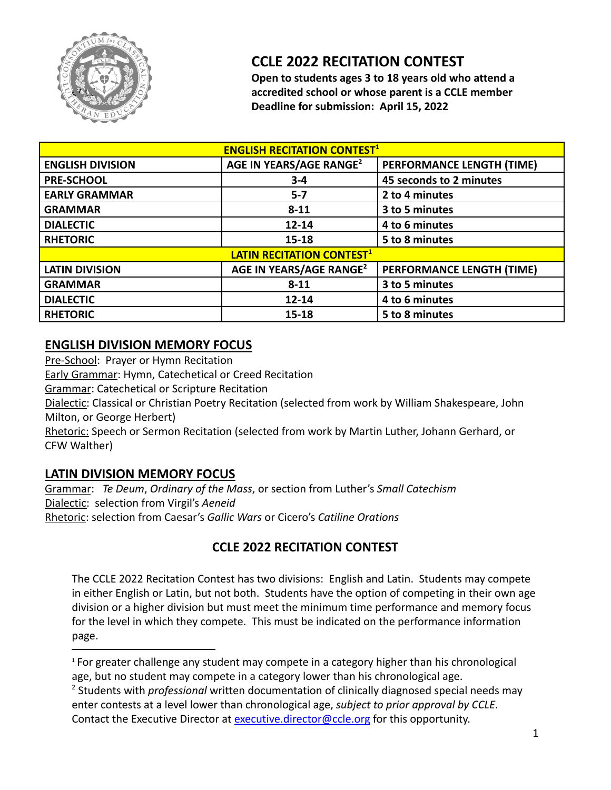

# **CCLE 2022 RECITATION CONTEST**

**Open to students ages 3 to 18 years old who attend a CCLE accredited school or whose parent is a CCLE member Deadline for submission: April 15, 2022**

| <b>ENGLISH RECITATION CONTEST<sup>1</sup></b> |                                     |                           |  |  |
|-----------------------------------------------|-------------------------------------|---------------------------|--|--|
| <b>ENGLISH DIVISION</b>                       | AGE IN YEARS/AGE RANGE <sup>2</sup> | PERFORMANCE LENGTH (TIME) |  |  |
| <b>PRE-SCHOOL</b>                             | $3 - 4$                             | 45 seconds to 2 minutes   |  |  |
| <b>EARLY GRAMMAR</b>                          | $5 - 7$                             | 2 to 4 minutes            |  |  |
| <b>GRAMMAR</b>                                | $8 - 11$                            | 3 to 5 minutes            |  |  |
| <b>DIALECTIC</b>                              | 12-14                               | 4 to 6 minutes            |  |  |
| <b>RHETORIC</b>                               | 15-18                               | 5 to 8 minutes            |  |  |
| <b>LATIN RECITATION CONTEST<sup>1</sup></b>   |                                     |                           |  |  |
| <b>LATIN DIVISION</b>                         | AGE IN YEARS/AGE RANGE <sup>2</sup> | PERFORMANCE LENGTH (TIME) |  |  |
| <b>GRAMMAR</b>                                | $8 - 11$                            | 3 to 5 minutes            |  |  |
| <b>DIALECTIC</b>                              | $12 - 14$                           | 4 to 6 minutes            |  |  |
| <b>RHETORIC</b>                               | $15 - 18$                           | 5 to 8 minutes            |  |  |

#### **ENGLISH DIVISION MEMORY FOCUS**

Pre-School: Prayer or Hymn Recitation

Early Grammar: Hymn, Catechetical or Creed Recitation

Grammar: Catechetical or Scripture Recitation

Dialectic: Classical or Christian Poetry Recitation (selected from work by William Shakespeare, John Milton, or George Herbert)

Rhetoric: Speech or Sermon Recitation (selected from work by Martin Luther, Johann Gerhard, or CFW Walther)

#### **LATIN DIVISION MEMORY FOCUS**

Grammar: *Te Deum*, *Ordinary of the Mass*, or section from Luther's *Small Catechism* Dialectic: selection from Virgil's *Aeneid* Rhetoric: selection from Caesar's *Gallic Wars* or Cicero's *Catiline Orations*

# **CCLE 2022 RECITATION CONTEST**

The CCLE 2022 Recitation Contest has two divisions: English and Latin. Students may compete in either English or Latin, but not both. Students have the option of competing in their own age division or a higher division but must meet the minimum time performance and memory focus for the level in which they compete. This must be indicated on the performance information page.

<sup>2</sup> Students with *professional* written documentation of clinically diagnosed special needs may enter contests at a level lower than chronological age, *subject to prior approval by CCLE*. Contact the Executive Director at [executive.director@ccle.org](mailto:executive.director@ccle.org) for this opportunity. <sup>1</sup> For greater challenge any student may compete in a category higher than his chronological age, but no student may compete in a category lower than his chronological age.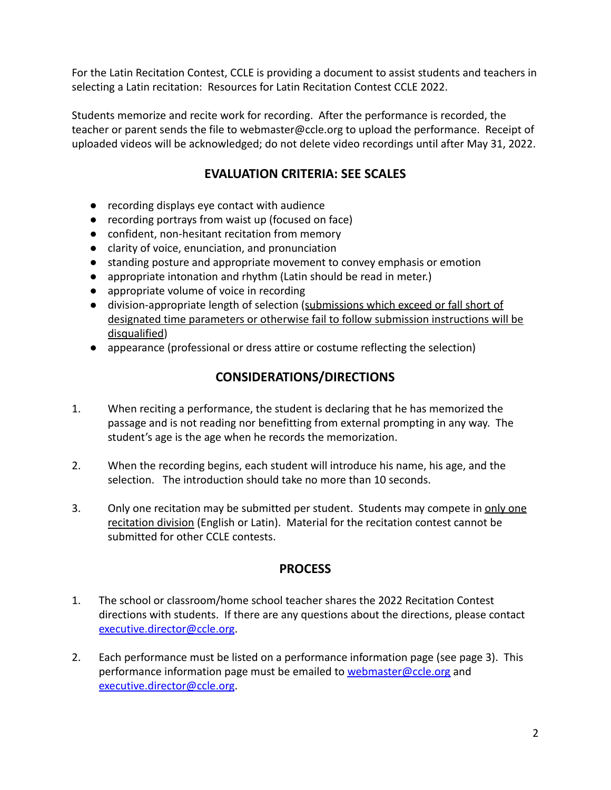For the Latin Recitation Contest, CCLE is providing a document to assist students and teachers in selecting a Latin recitation: Resources for Latin Recitation Contest CCLE 2022.

Students memorize and recite work for recording. After the performance is recorded, the teacher or parent sends the file to webmaster@ccle.org to upload the performance. Receipt of uploaded videos will be acknowledged; do not delete video recordings until after May 31, 2022.

### **EVALUATION CRITERIA: SEE SCALES**

- **●** recording displays eye contact with audience
- **●** recording portrays from waist up (focused on face)
- **●** confident, non-hesitant recitation from memory
- **●** clarity of voice, enunciation, and pronunciation
- **●** standing posture and appropriate movement to convey emphasis or emotion
- **●** appropriate intonation and rhythm (Latin should be read in meter.)
- **●** appropriate volume of voice in recording
- **●** division-appropriate length of selection (submissions which exceed or fall short of designated time parameters or otherwise fail to follow submission instructions will be disqualified)
- appearance (professional or dress attire or costume reflecting the selection)

# **CONSIDERATIONS/DIRECTIONS**

- 1. When reciting a performance, the student is declaring that he has memorized the passage and is not reading nor benefitting from external prompting in any way. The student's age is the age when he records the memorization.
- 2. When the recording begins, each student will introduce his name, his age, and the selection. The introduction should take no more than 10 seconds.
- 3. Only one recitation may be submitted per student. Students may compete in only one recitation division (English or Latin). Material for the recitation contest cannot be submitted for other CCLE contests.

#### **PROCESS**

- 1. The school or classroom/home school teacher shares the 2022 Recitation Contest directions with students. If there are any questions about the directions, please contact [executive.director@ccle.org](mailto:executive.director@ccle.org).
- 2. Each performance must be listed on a performance information page (see page 3). This performance information page must be emailed to [webmaster@ccle.org](mailto:webmaster@ccle.org) and [executive.director@ccle.org](mailto:executive.director@ccle.org).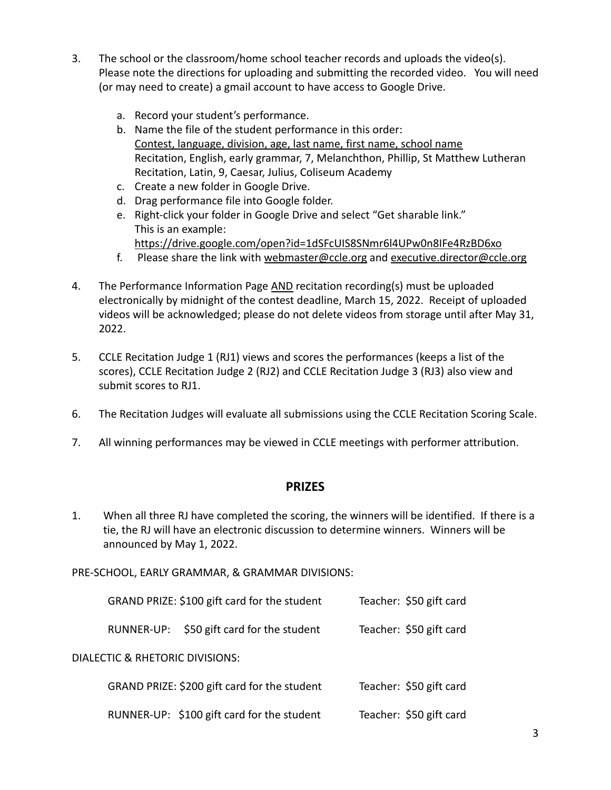- 3. The school or the classroom/home school teacher records and uploads the video(s). Please note the directions for uploading and submitting the recorded video. You will need (or may need to create) a gmail account to have access to Google Drive.
	- a. Record your student's performance.
	- b. Name the file of the student performance in this order: Contest, language, division, age, last name, first name, school name Recitation, English, early grammar, 7, Melanchthon, Phillip, St Matthew Lutheran Recitation, Latin, 9, Caesar, Julius, Coliseum Academy
	- c. Create a new folder in Google Drive.
	- d. Drag performance file into Google folder.
	- e. Right-click your folder in Google Drive and select "Get sharable link." This is an example:
		- <https://drive.google.com/open?id=1dSFcUIS8SNmr6l4UPw0n8IFe4RzBD6xo>
	- f. Please share the link with [webmaster@ccle.org](mailto:webmaster@ccle.org) and [executive.director@ccle.org](mailto:executive.director@ccle.org)
- 4. The Performance Information Page AND recitation recording(s) must be uploaded electronically by midnight of the contest deadline, March 15, 2022. Receipt of uploaded videos will be acknowledged; please do not delete videos from storage until after May 31, 2022.
- 5. CCLE Recitation Judge 1 (RJ1) views and scores the performances (keeps a list of the scores), CCLE Recitation Judge 2 (RJ2) and CCLE Recitation Judge 3 (RJ3) also view and submit scores to RJ1.
- 6. The Recitation Judges will evaluate all submissions using the CCLE Recitation Scoring Scale.
- 7. All winning performances may be viewed in CCLE meetings with performer attribution.

#### **PRIZES**

1. When all three RJ have completed the scoring, the winners will be identified. If there is a tie, the RJ will have an electronic discussion to determine winners. Winners will be announced by May 1, 2022.

PRE-SCHOOL, EARLY GRAMMAR, & GRAMMAR DIVISIONS:

| GRAND PRIZE: \$100 gift card for the student |                                           |  | Teacher: \$50 gift card |
|----------------------------------------------|-------------------------------------------|--|-------------------------|
|                                              | RUNNER-UP: \$50 gift card for the student |  | Teacher: \$50 gift card |
| <b>DIALECTIC &amp; RHETORIC DIVISIONS:</b>   |                                           |  |                         |
| GRAND PRIZE: \$200 gift card for the student |                                           |  | Teacher: \$50 gift card |
|                                              |                                           |  |                         |